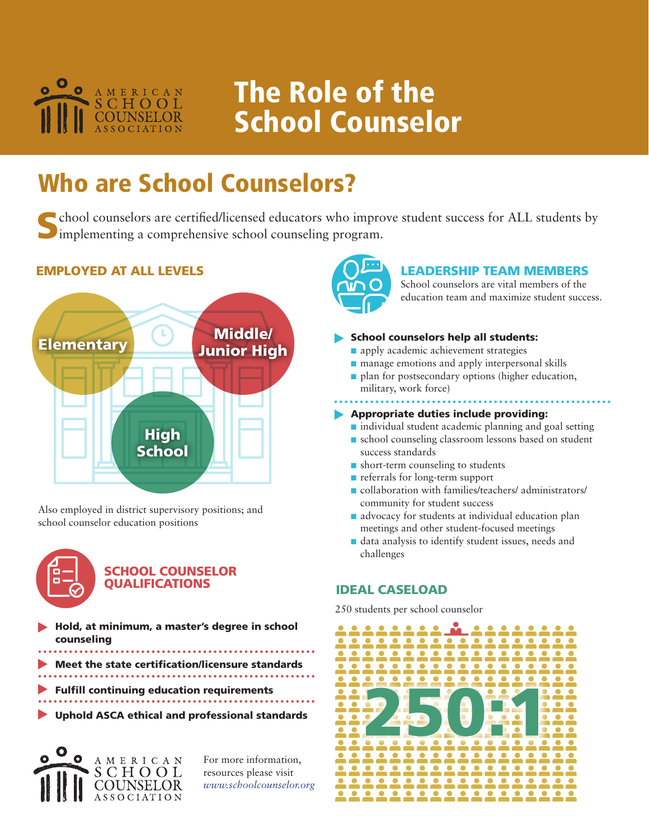

# The Role of the School Counselor

# Who are School Counselors?

School counselors are certified/licensed educators who improve student success for ALL students by implementing a comprehensive school counseling program.

## EMPLOYED AT ALL LEVELS



Also employed in district supervisory positions; and school counselor education positions



## SCHOOL COUNSELOR QUALIFICATIONS

Hold, at minimum, a master's degree in school counseling

- Meet the state certification/licensure standards
- Fulfill continuing education requirements
- 
- Uphold ASCA ethical and professional standards



For more information, resources please visit *www.schoolcounselor.org*



### LEADERSHIP TEAM MEMBERS

School counselors are vital members of the education team and maximize student success.

#### School counselors help all students:

- n apply academic achievement strategies
- $\blacksquare$  manage emotions and apply interpersonal skills
- n plan for postsecondary options (higher education, military, work force)

# Appropriate duties include providing:

- $\blacksquare$  individual student academic planning and goal setting
- $\blacksquare$  school counseling classroom lessons based on student success standards
- $\blacksquare$  short-term counseling to students
- n referrals for long-term support
- $\blacksquare$  collaboration with families/teachers/ administrators/ community for student success
- $\blacksquare$  advocacy for students at individual education plan meetings and other student-focused meetings
- n data analysis to identify student issues, needs and challenges

## IDEAL CASELOAD

250 students per school counselor